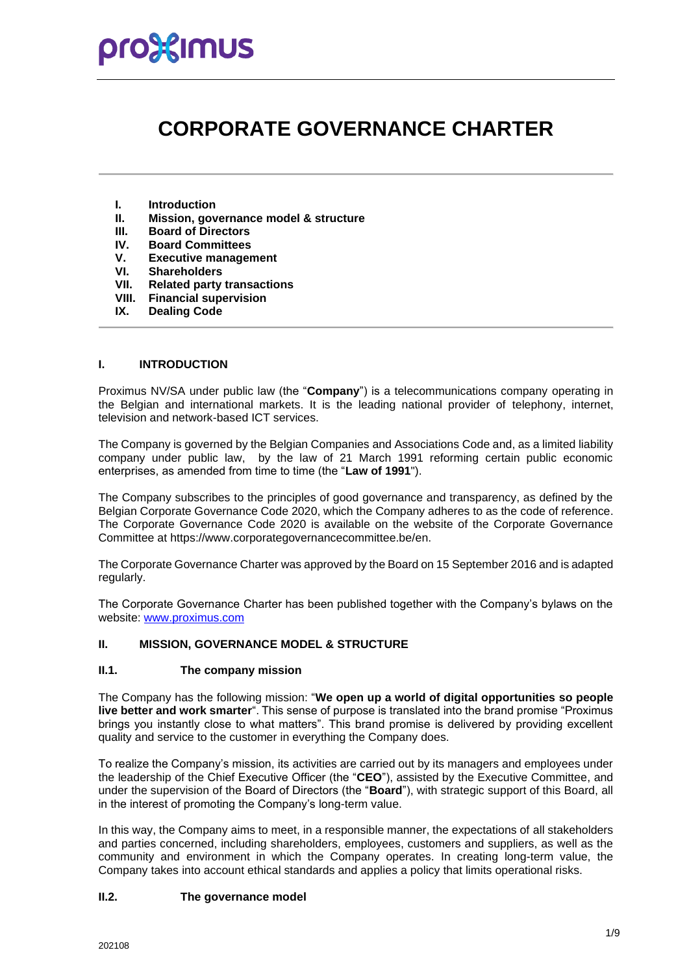### pro%imus

### **CORPORATE GOVERNANCE CHARTER**

- **I. Introduction**
- **II. Mission, governance model & structure**
- **III. Board of Directors**
- **IV. Board Committees**
- **V. Executive management**
- **VI. Shareholders**
- **VII. Related party transactions**
- **VIII. Financial supervision**
- **IX. Dealing Code**

#### **I. INTRODUCTION**

Proximus NV/SA under public law (the "**Company**") is a telecommunications company operating in the Belgian and international markets. It is the leading national provider of telephony, internet, television and network-based ICT services.

The Company is governed by the Belgian Companies and Associations Code and, as a limited liability company under public law, by the law of 21 March 1991 reforming certain public economic enterprises, as amended from time to time (the "**Law of 1991**").

The Company subscribes to the principles of good governance and transparency, as defined by the Belgian Corporate Governance Code 2020, which the Company adheres to as the code of reference. The Corporate Governance Code 2020 is available on the website of the Corporate Governance Committee at https://www.corporategovernancecommittee.be/en.

The Corporate Governance Charter was approved by the Board on 15 September 2016 and is adapted regularly.

The Corporate Governance Charter has been published together with the Company's bylaws on the website: [www.proximus.com](http://www.proximus.com/)

#### **II. MISSION, GOVERNANCE MODEL & STRUCTURE**

#### **II.1. The company mission**

The Company has the following mission: "**We open up a world of digital opportunities so people live better and work smarter**". This sense of purpose is translated into the brand promise "Proximus brings you instantly close to what matters". This brand promise is delivered by providing excellent quality and service to the customer in everything the Company does.

To realize the Company's mission, its activities are carried out by its managers and employees under the leadership of the Chief Executive Officer (the "**CEO**"), assisted by the Executive Committee, and under the supervision of the Board of Directors (the "**Board**"), with strategic support of this Board, all in the interest of promoting the Company's long-term value.

In this way, the Company aims to meet, in a responsible manner, the expectations of all stakeholders and parties concerned, including shareholders, employees, customers and suppliers, as well as the community and environment in which the Company operates. In creating long-term value, the Company takes into account ethical standards and applies a policy that limits operational risks.

#### **II.2. The governance model**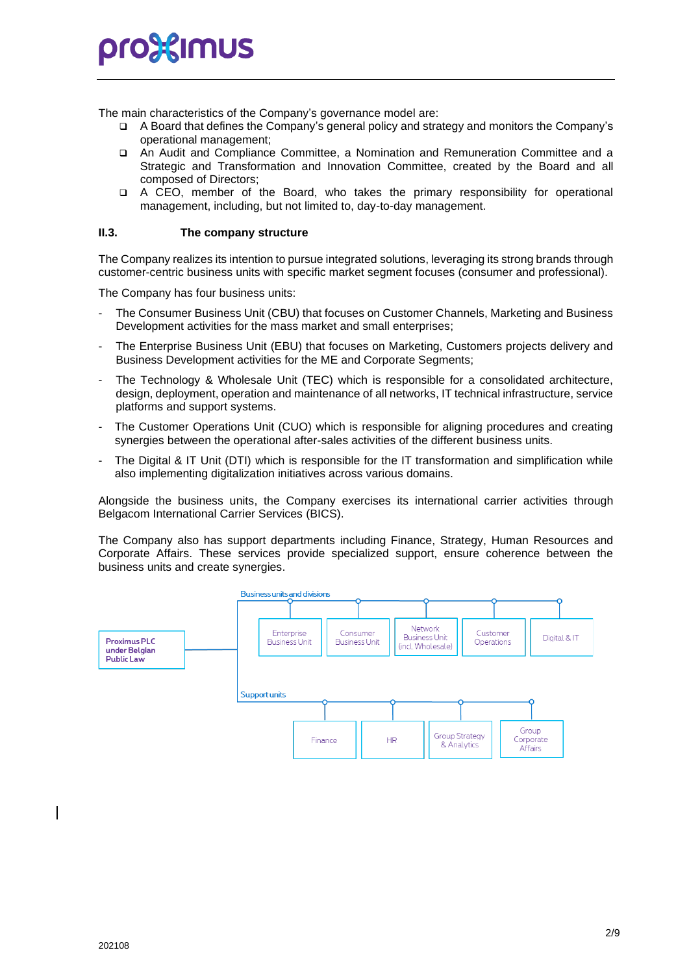The main characteristics of the Company's governance model are:

- ❑ A Board that defines the Company's general policy and strategy and monitors the Company's operational management;
- ❑ An Audit and Compliance Committee, a Nomination and Remuneration Committee and a Strategic and Transformation and Innovation Committee, created by the Board and all composed of Directors;
- ❑ A CEO, member of the Board, who takes the primary responsibility for operational management, including, but not limited to, day-to-day management.

#### **II.3. The company structure**

The Company realizes its intention to pursue integrated solutions, leveraging its strong brands through customer-centric business units with specific market segment focuses (consumer and professional).

The Company has four business units:

- The Consumer Business Unit (CBU) that focuses on Customer Channels, Marketing and Business Development activities for the mass market and small enterprises;
- The Enterprise Business Unit (EBU) that focuses on Marketing, Customers projects delivery and Business Development activities for the ME and Corporate Segments;
- The Technology & Wholesale Unit (TEC) which is responsible for a consolidated architecture, design, deployment, operation and maintenance of all networks, IT technical infrastructure, service platforms and support systems.
- The Customer Operations Unit (CUO) which is responsible for aligning procedures and creating synergies between the operational after-sales activities of the different business units.
- The Digital & IT Unit (DTI) which is responsible for the IT transformation and simplification while also implementing digitalization initiatives across various domains.

Alongside the business units, the Company exercises its international carrier activities through Belgacom International Carrier Services (BICS).

The Company also has support departments including Finance, Strategy, Human Resources and Corporate Affairs. These services provide specialized support, ensure coherence between the business units and create synergies.

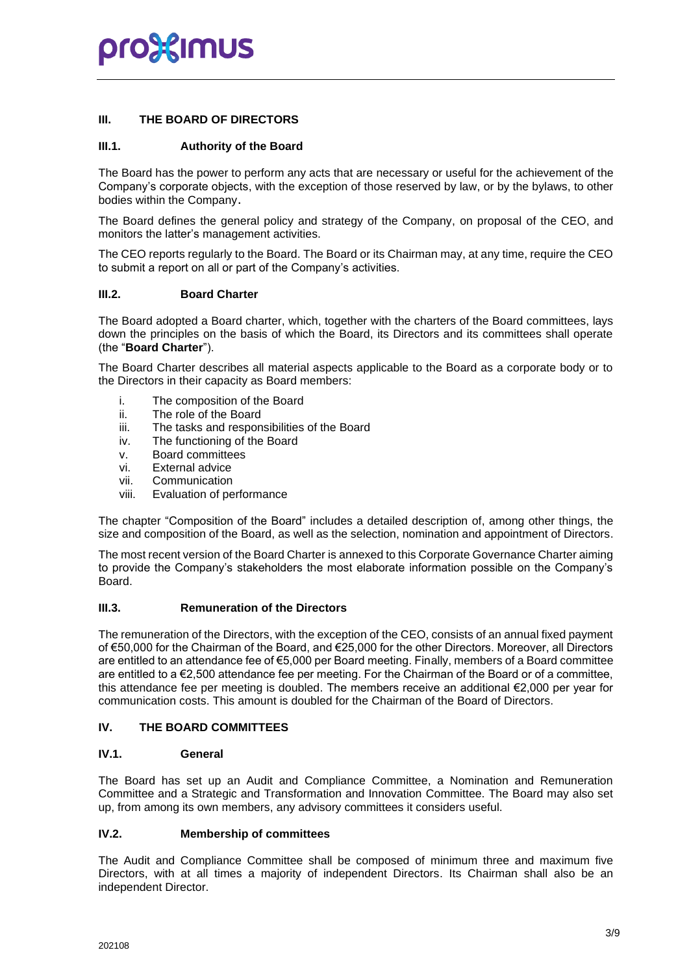#### **III. THE BOARD OF DIRECTORS**

#### **III.1. Authority of the Board**

The Board has the power to perform any acts that are necessary or useful for the achievement of the Company's corporate objects, with the exception of those reserved by law, or by the bylaws, to other bodies within the Company.

The Board defines the general policy and strategy of the Company, on proposal of the CEO, and monitors the latter's management activities.

The CEO reports regularly to the Board. The Board or its Chairman may, at any time, require the CEO to submit a report on all or part of the Company's activities.

#### **III.2. Board Charter**

The Board adopted a Board charter, which, together with the charters of the Board committees, lays down the principles on the basis of which the Board, its Directors and its committees shall operate (the "**Board Charter**").

The Board Charter describes all material aspects applicable to the Board as a corporate body or to the Directors in their capacity as Board members:

- i. The composition of the Board
- ii. The role of the Board
- iii. The tasks and responsibilities of the Board
- iv. The functioning of the Board
- v. Board committees
- vi. External advice
- vii. Communication
- viii. Evaluation of performance

The chapter "Composition of the Board" includes a detailed description of, among other things, the size and composition of the Board, as well as the selection, nomination and appointment of Directors.

The most recent version of the Board Charter is annexed to this Corporate Governance Charter aiming to provide the Company's stakeholders the most elaborate information possible on the Company's Board.

#### **III.3. Remuneration of the Directors**

The remuneration of the Directors, with the exception of the CEO, consists of an annual fixed payment of €50,000 for the Chairman of the Board, and €25,000 for the other Directors. Moreover, all Directors are entitled to an attendance fee of €5,000 per Board meeting. Finally, members of a Board committee are entitled to a €2,500 attendance fee per meeting. For the Chairman of the Board or of a committee, this attendance fee per meeting is doubled. The members receive an additional €2,000 per year for communication costs. This amount is doubled for the Chairman of the Board of Directors.

#### **IV. THE BOARD COMMITTEES**

#### **IV.1. General**

The Board has set up an Audit and Compliance Committee, a Nomination and Remuneration Committee and a Strategic and Transformation and Innovation Committee. The Board may also set up, from among its own members, any advisory committees it considers useful.

#### **IV.2. Membership of committees**

The Audit and Compliance Committee shall be composed of minimum three and maximum five Directors, with at all times a majority of independent Directors. Its Chairman shall also be an independent Director.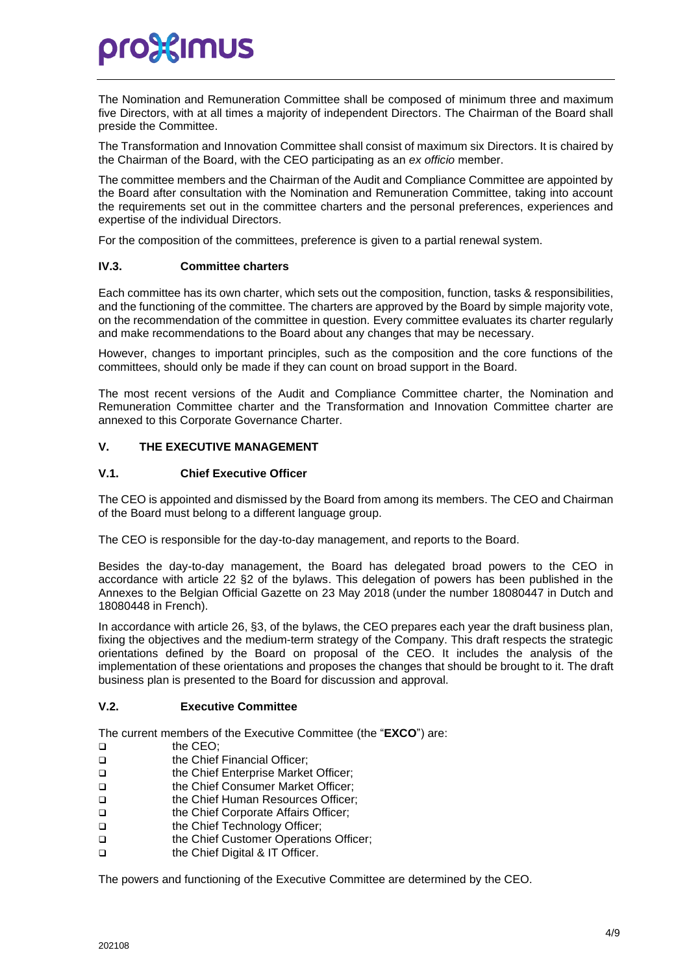# pro}{Imus

The Nomination and Remuneration Committee shall be composed of minimum three and maximum five Directors, with at all times a majority of independent Directors. The Chairman of the Board shall preside the Committee.

The Transformation and Innovation Committee shall consist of maximum six Directors. It is chaired by the Chairman of the Board, with the CEO participating as an *ex officio* member.

The committee members and the Chairman of the Audit and Compliance Committee are appointed by the Board after consultation with the Nomination and Remuneration Committee, taking into account the requirements set out in the committee charters and the personal preferences, experiences and expertise of the individual Directors.

For the composition of the committees, preference is given to a partial renewal system.

#### **IV.3. Committee charters**

Each committee has its own charter, which sets out the composition, function, tasks & responsibilities, and the functioning of the committee. The charters are approved by the Board by simple majority vote, on the recommendation of the committee in question. Every committee evaluates its charter regularly and make recommendations to the Board about any changes that may be necessary.

However, changes to important principles, such as the composition and the core functions of the committees, should only be made if they can count on broad support in the Board.

The most recent versions of the Audit and Compliance Committee charter, the Nomination and Remuneration Committee charter and the Transformation and Innovation Committee charter are annexed to this Corporate Governance Charter.

#### **V. THE EXECUTIVE MANAGEMENT**

#### **V.1. Chief Executive Officer**

The CEO is appointed and dismissed by the Board from among its members. The CEO and Chairman of the Board must belong to a different language group.

The CEO is responsible for the day-to-day management, and reports to the Board.

Besides the day-to-day management, the Board has delegated broad powers to the CEO in accordance with article 22 §2 of the bylaws. This delegation of powers has been published in the Annexes to the Belgian Official Gazette on 23 May 2018 (under the number 18080447 in Dutch and 18080448 in French).

In accordance with article 26, §3, of the bylaws, the CEO prepares each year the draft business plan, fixing the objectives and the medium-term strategy of the Company. This draft respects the strategic orientations defined by the Board on proposal of the CEO. It includes the analysis of the implementation of these orientations and proposes the changes that should be brought to it. The draft business plan is presented to the Board for discussion and approval.

#### **V.2. Executive Committee**

The current members of the Executive Committee (the "**EXCO**") are:

- ❑ the CEO;
- ❑ the Chief Financial Officer;
- ❑ the Chief Enterprise Market Officer;
- ❑ the Chief Consumer Market Officer;
- ❑ the Chief Human Resources Officer;
- ❑ the Chief Corporate Affairs Officer;
- ❑ the Chief Technology Officer;
- ❑ the Chief Customer Operations Officer;
- ❑ the Chief Digital & IT Officer.

The powers and functioning of the Executive Committee are determined by the CEO.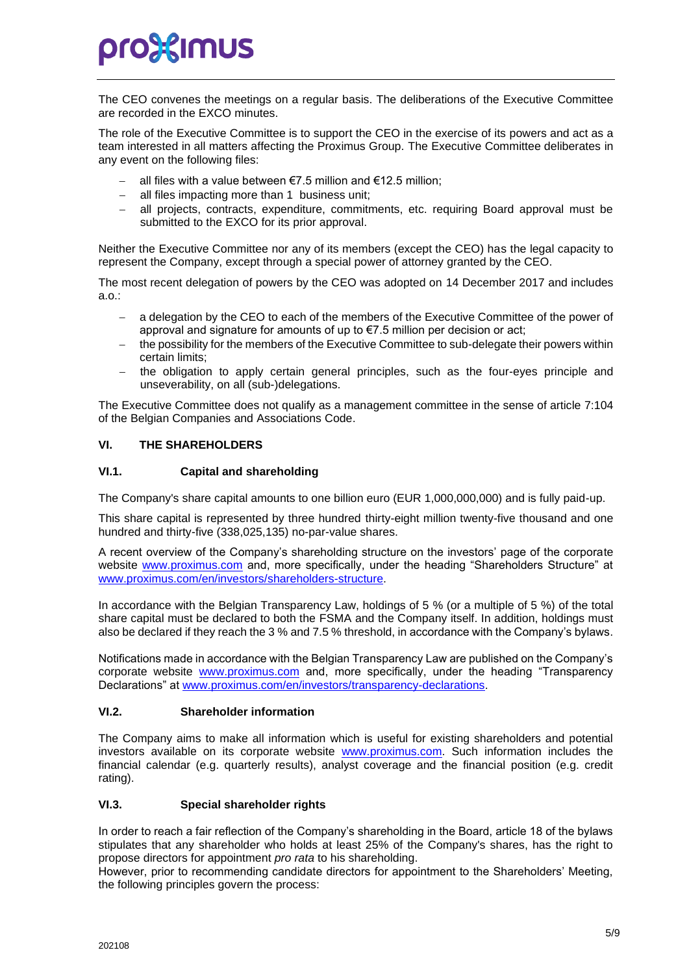# pro%imus

The CEO convenes the meetings on a regular basis. The deliberations of the Executive Committee are recorded in the EXCO minutes.

The role of the Executive Committee is to support the CEO in the exercise of its powers and act as a team interested in all matters affecting the Proximus Group. The Executive Committee deliberates in any event on the following files:

- all files with a value between €7.5 million and €12.5 million;
- all files impacting more than 1 business unit;
- − all projects, contracts, expenditure, commitments, etc. requiring Board approval must be submitted to the EXCO for its prior approval.

Neither the Executive Committee nor any of its members (except the CEO) has the legal capacity to represent the Company, except through a special power of attorney granted by the CEO.

The most recent delegation of powers by the CEO was adopted on 14 December 2017 and includes a.o.:

- − a delegation by the CEO to each of the members of the Executive Committee of the power of approval and signature for amounts of up to €7.5 million per decision or act;
- the possibility for the members of the Executive Committee to sub-delegate their powers within certain limits;
- the obligation to apply certain general principles, such as the four-eyes principle and unseverability, on all (sub-)delegations.

The Executive Committee does not qualify as a management committee in the sense of article 7:104 of the Belgian Companies and Associations Code.

#### **VI. THE SHAREHOLDERS**

#### **VI.1. Capital and shareholding**

The Company's share capital amounts to one billion euro (EUR 1,000,000,000) and is fully paid-up.

This share capital is represented by three hundred thirty-eight million twenty-five thousand and one hundred and thirty-five (338,025,135) no-par-value shares.

A recent overview of the Company's shareholding structure on the investors' page of the corporate website [www.proximus.com](http://www.proximus.com/) and, more specifically, under the heading "Shareholders Structure" at [www.proximus.com/en/investors/s](http://www.proximus.com/en/investors/)hareholders-structure.

In accordance with the Belgian Transparency Law, holdings of 5 % (or a multiple of 5 %) of the total share capital must be declared to both the FSMA and the Company itself. In addition, holdings must also be declared if they reach the 3 % and 7.5 % threshold, in accordance with the Company's bylaws.

Notifications made in accordance with the Belgian Transparency Law are published on the Company's corporate website [www.proximus.com](http://www.proximus.com/) and, more specifically, under the heading "Transparency Declarations" at [www.proximus.com/en/investors/t](http://www.proximus.com/en/investors/)ransparency-declarations.

#### **VI.2. Shareholder information**

The Company aims to make all information which is useful for existing shareholders and potential investors available on its corporate website [www.proximus.com.](http://www.proximus.com/) Such information includes the financial calendar (e.g. quarterly results), analyst coverage and the financial position (e.g. credit rating).

#### **VI.3. Special shareholder rights**

In order to reach a fair reflection of the Company's shareholding in the Board, article 18 of the bylaws stipulates that any shareholder who holds at least 25% of the Company's shares, has the right to propose directors for appointment *pro rata* to his shareholding.

However, prior to recommending candidate directors for appointment to the Shareholders' Meeting, the following principles govern the process: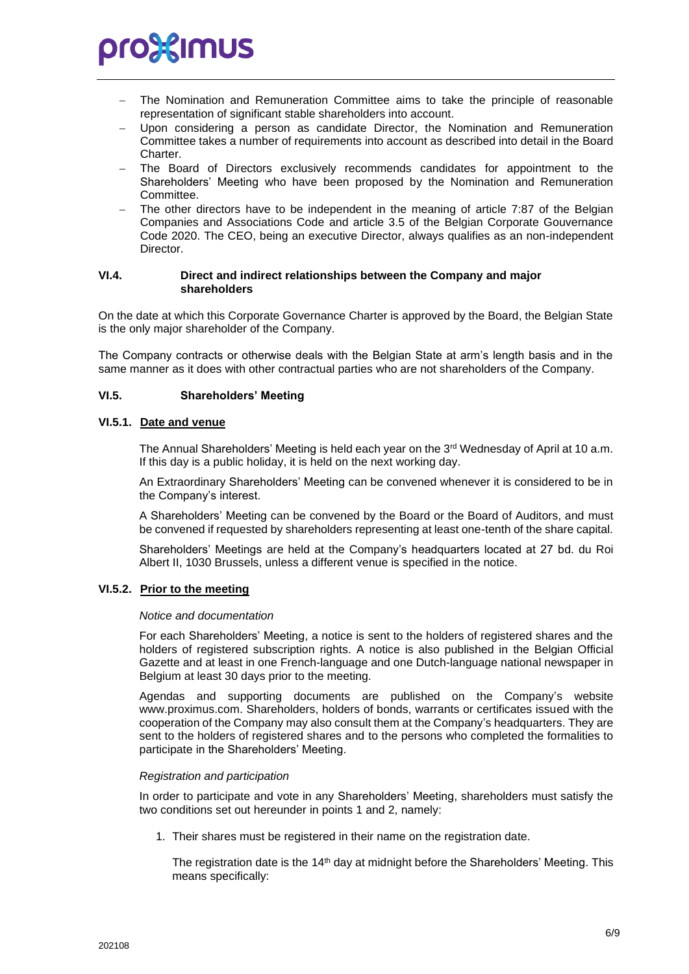

- The Nomination and Remuneration Committee aims to take the principle of reasonable representation of significant stable shareholders into account.
- Upon considering a person as candidate Director, the Nomination and Remuneration Committee takes a number of requirements into account as described into detail in the Board Charter.
- The Board of Directors exclusively recommends candidates for appointment to the Shareholders' Meeting who have been proposed by the Nomination and Remuneration Committee.
- The other directors have to be independent in the meaning of article 7:87 of the Belgian Companies and Associations Code and article 3.5 of the Belgian Corporate Gouvernance Code 2020. The CEO, being an executive Director, always qualifies as an non-independent Director.

#### **VI.4. Direct and indirect relationships between the Company and major shareholders**

On the date at which this Corporate Governance Charter is approved by the Board, the Belgian State is the only major shareholder of the Company.

The Company contracts or otherwise deals with the Belgian State at arm's length basis and in the same manner as it does with other contractual parties who are not shareholders of the Company.

#### **VI.5. Shareholders' Meeting**

#### **VI.5.1. Date and venue**

The Annual Shareholders' Meeting is held each year on the 3<sup>rd</sup> Wednesday of April at 10 a.m. If this day is a public holiday, it is held on the next working day.

An Extraordinary Shareholders' Meeting can be convened whenever it is considered to be in the Company's interest.

A Shareholders' Meeting can be convened by the Board or the Board of Auditors, and must be convened if requested by shareholders representing at least one-tenth of the share capital.

Shareholders' Meetings are held at the Company's headquarters located at 27 bd. du Roi Albert II, 1030 Brussels, unless a different venue is specified in the notice.

#### **VI.5.2. Prior to the meeting**

#### *Notice and documentation*

For each Shareholders' Meeting, a notice is sent to the holders of registered shares and the holders of registered subscription rights. A notice is also published in the Belgian Official Gazette and at least in one French-language and one Dutch-language national newspaper in Belgium at least 30 days prior to the meeting.

Agendas and supporting documents are published on the Company's website www.proximus.com. Shareholders, holders of bonds, warrants or certificates issued with the cooperation of the Company may also consult them at the Company's headquarters. They are sent to the holders of registered shares and to the persons who completed the formalities to participate in the Shareholders' Meeting.

#### *Registration and participation*

In order to participate and vote in any Shareholders' Meeting, shareholders must satisfy the two conditions set out hereunder in points 1 and 2, namely:

1. Their shares must be registered in their name on the registration date.

The registration date is the  $14<sup>th</sup>$  day at midnight before the Shareholders' Meeting. This means specifically: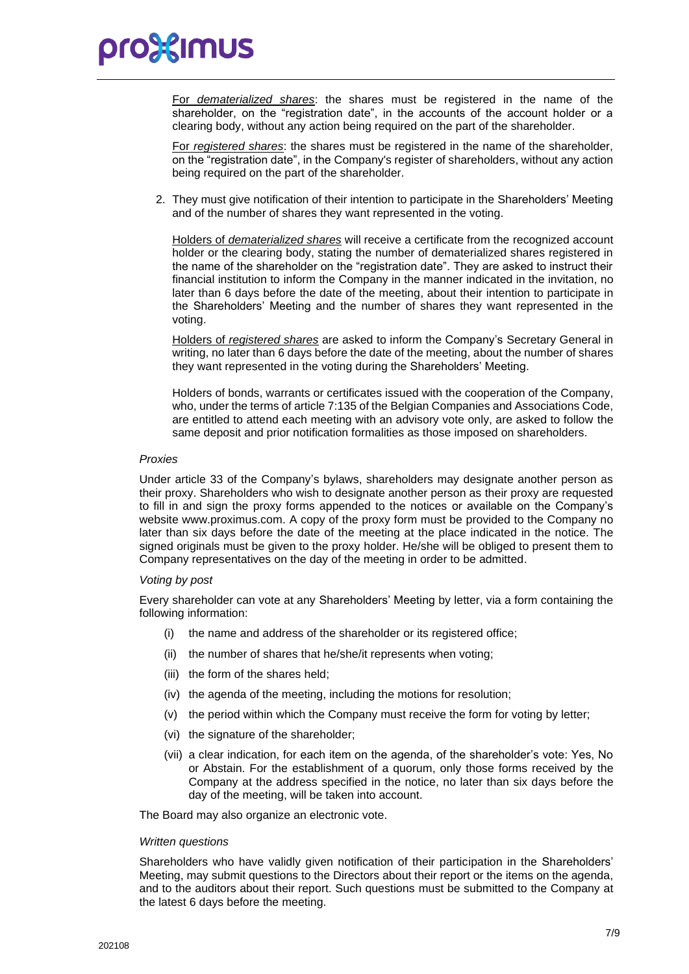### pro%imus

For *dematerialized shares*: the shares must be registered in the name of the shareholder, on the "registration date", in the accounts of the account holder or a clearing body, without any action being required on the part of the shareholder.

For *registered shares*: the shares must be registered in the name of the shareholder, on the "registration date", in the Company's register of shareholders, without any action being required on the part of the shareholder.

2. They must give notification of their intention to participate in the Shareholders' Meeting and of the number of shares they want represented in the voting.

Holders of *dematerialized shares* will receive a certificate from the recognized account holder or the clearing body, stating the number of dematerialized shares registered in the name of the shareholder on the "registration date". They are asked to instruct their financial institution to inform the Company in the manner indicated in the invitation, no later than 6 days before the date of the meeting, about their intention to participate in the Shareholders' Meeting and the number of shares they want represented in the voting.

Holders of *registered shares* are asked to inform the Company's Secretary General in writing, no later than 6 days before the date of the meeting, about the number of shares they want represented in the voting during the Shareholders' Meeting.

Holders of bonds, warrants or certificates issued with the cooperation of the Company, who, under the terms of article 7:135 of the Belgian Companies and Associations Code, are entitled to attend each meeting with an advisory vote only, are asked to follow the same deposit and prior notification formalities as those imposed on shareholders.

#### *Proxies*

Under article 33 of the Company's bylaws, shareholders may designate another person as their proxy. Shareholders who wish to designate another person as their proxy are requested to fill in and sign the proxy forms appended to the notices or available on the Company's website www.proximus.com. A copy of the proxy form must be provided to the Company no later than six days before the date of the meeting at the place indicated in the notice. The signed originals must be given to the proxy holder. He/she will be obliged to present them to Company representatives on the day of the meeting in order to be admitted.

#### *Voting by post*

Every shareholder can vote at any Shareholders' Meeting by letter, via a form containing the following information:

- the name and address of the shareholder or its registered office;
- (ii) the number of shares that he/she/it represents when voting;
- (iii) the form of the shares held;
- (iv) the agenda of the meeting, including the motions for resolution;
- (v) the period within which the Company must receive the form for voting by letter;
- (vi) the signature of the shareholder;
- (vii) a clear indication, for each item on the agenda, of the shareholder's vote: Yes, No or Abstain. For the establishment of a quorum, only those forms received by the Company at the address specified in the notice, no later than six days before the day of the meeting, will be taken into account.

The Board may also organize an electronic vote.

#### *Written questions*

Shareholders who have validly given notification of their participation in the Shareholders' Meeting, may submit questions to the Directors about their report or the items on the agenda, and to the auditors about their report. Such questions must be submitted to the Company at the latest 6 days before the meeting.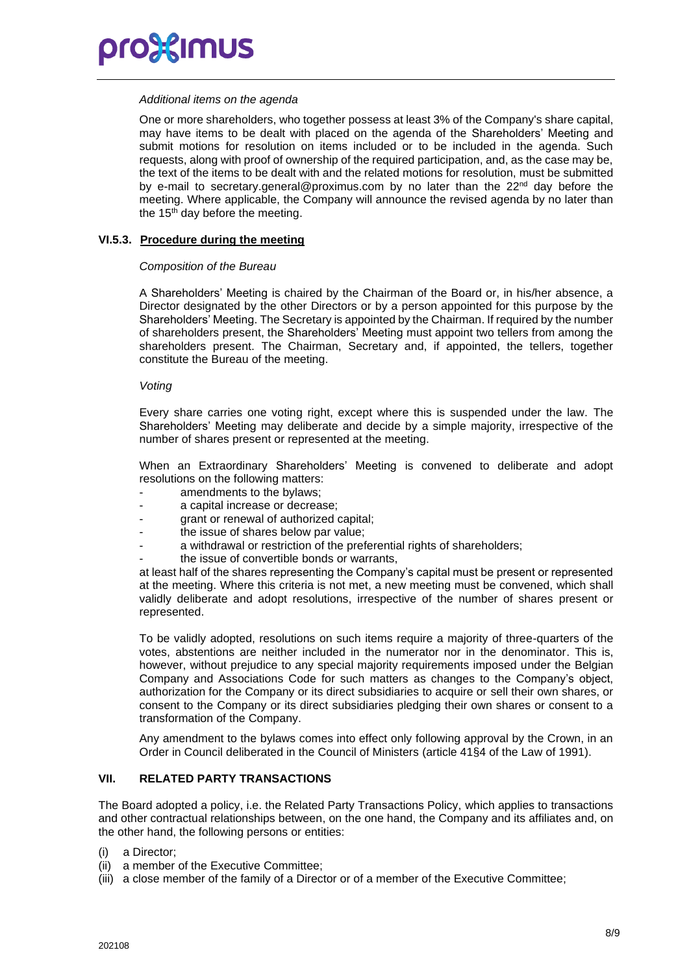

#### *Additional items on the agenda*

One or more shareholders, who together possess at least 3% of the Company's share capital, may have items to be dealt with placed on the agenda of the Shareholders' Meeting and submit motions for resolution on items included or to be included in the agenda. Such requests, along with proof of ownership of the required participation, and, as the case may be, the text of the items to be dealt with and the related motions for resolution, must be submitted by e-mail to secretary.general@proximus.com by no later than the 22<sup>nd</sup> day before the meeting. Where applicable, the Company will announce the revised agenda by no later than the 15<sup>th</sup> day before the meeting.

#### **VI.5.3. Procedure during the meeting**

#### *Composition of the Bureau*

A Shareholders' Meeting is chaired by the Chairman of the Board or, in his/her absence, a Director designated by the other Directors or by a person appointed for this purpose by the Shareholders' Meeting. The Secretary is appointed by the Chairman. If required by the number of shareholders present, the Shareholders' Meeting must appoint two tellers from among the shareholders present. The Chairman, Secretary and, if appointed, the tellers, together constitute the Bureau of the meeting.

#### *Voting*

Every share carries one voting right, except where this is suspended under the law. The Shareholders' Meeting may deliberate and decide by a simple majority, irrespective of the number of shares present or represented at the meeting.

When an Extraordinary Shareholders' Meeting is convened to deliberate and adopt resolutions on the following matters:

- amendments to the bylaws:
- a capital increase or decrease;
- grant or renewal of authorized capital;
- the issue of shares below par value:
- a withdrawal or restriction of the preferential rights of shareholders;
- the issue of convertible bonds or warrants,

at least half of the shares representing the Company's capital must be present or represented at the meeting. Where this criteria is not met, a new meeting must be convened, which shall validly deliberate and adopt resolutions, irrespective of the number of shares present or represented.

To be validly adopted, resolutions on such items require a majority of three-quarters of the votes, abstentions are neither included in the numerator nor in the denominator. This is, however, without prejudice to any special majority requirements imposed under the Belgian Company and Associations Code for such matters as changes to the Company's object, authorization for the Company or its direct subsidiaries to acquire or sell their own shares, or consent to the Company or its direct subsidiaries pledging their own shares or consent to a transformation of the Company.

Any amendment to the bylaws comes into effect only following approval by the Crown, in an Order in Council deliberated in the Council of Ministers (article 41§4 of the Law of 1991).

#### **VII. RELATED PARTY TRANSACTIONS**

The Board adopted a policy, i.e. the Related Party Transactions Policy, which applies to transactions and other contractual relationships between, on the one hand, the Company and its affiliates and, on the other hand, the following persons or entities:

- (i) a Director;
- (ii) a member of the Executive Committee;
- (iii) a close member of the family of a Director or of a member of the Executive Committee;